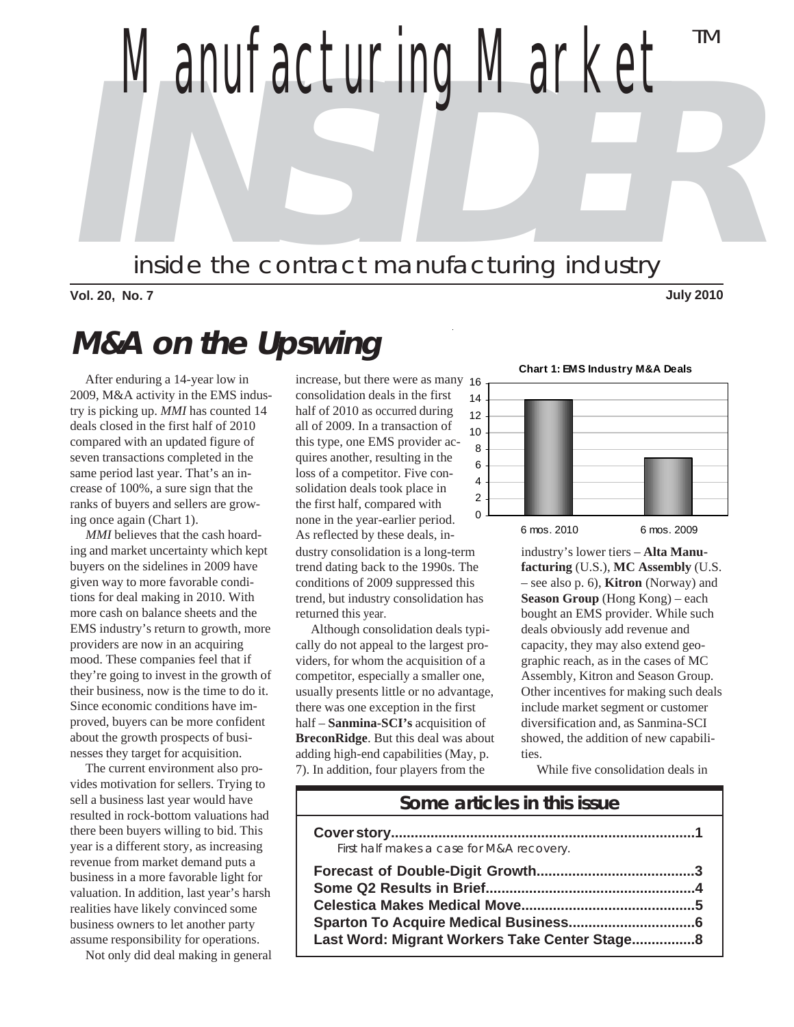**INSIDER** *Manufacturing Market* inside the contract manufacturing industry TM

**Vol. 20, No. 7 July 2010**

# **M&A on the Upswing**

 After enduring a 14-year low in 2009, M&A activity in the EMS industry is picking up. *MMI* has counted 14 deals closed in the first half of 2010 compared with an updated figure of seven transactions completed in the same period last year. That's an increase of 100%, a sure sign that the ranks of buyers and sellers are growing once again (Chart 1).

 *MMI* believes that the cash hoarding and market uncertainty which kept buyers on the sidelines in 2009 have given way to more favorable conditions for deal making in 2010. With more cash on balance sheets and the EMS industry's return to growth, more providers are now in an acquiring mood. These companies feel that if they're going to invest in the growth of their business, now is the time to do it. Since economic conditions have improved, buyers can be more confident about the growth prospects of businesses they target for acquisition.

 The current environment also provides motivation for sellers. Trying to sell a business last year would have resulted in rock-bottom valuations had there been buyers willing to bid. This year is a different story, as increasing revenue from market demand puts a business in a more favorable light for valuation. In addition, last year's harsh realities have likely convinced some business owners to let another party assume responsibility for operations.

Not only did deal making in general

increase, but there were as many 16 consolidation deals in the first half of 2010 as occurred during all of 2009. In a transaction of this type, one EMS provider acquires another, resulting in the loss of a competitor. Five consolidation deals took place in the first half, compared with none in the year-earlier period. As reflected by these deals, industry consolidation is a long-term trend dating back to the 1990s. The conditions of 2009 suppressed this trend, but industry consolidation has returned this year.

 Although consolidation deals typically do not appeal to the largest providers, for whom the acquisition of a competitor, especially a smaller one, usually presents little or no advantage, there was one exception in the first half – **Sanmina-SCI's** acquisition of **BreconRidge**. But this deal was about adding high-end capabilities (May, p. 7). In addition, four players from the



industry's lower tiers – **Alta Manufacturing** (U.S.), **MC Assembly** (U.S. – see also p. 6), **Kitron** (Norway) and **Season Group** (Hong Kong) – each bought an EMS provider. While such deals obviously add revenue and capacity, they may also extend geographic reach, as in the cases of MC Assembly, Kitron and Season Group. Other incentives for making such deals include market segment or customer diversification and, as Sanmina-SCI showed, the addition of new capabilities.

While five consolidation deals in

#### **Some articles in this issue**

| First half makes a case for M&A recovery.      |
|------------------------------------------------|
|                                                |
| Last Word: Migrant Workers Take Center Stage 8 |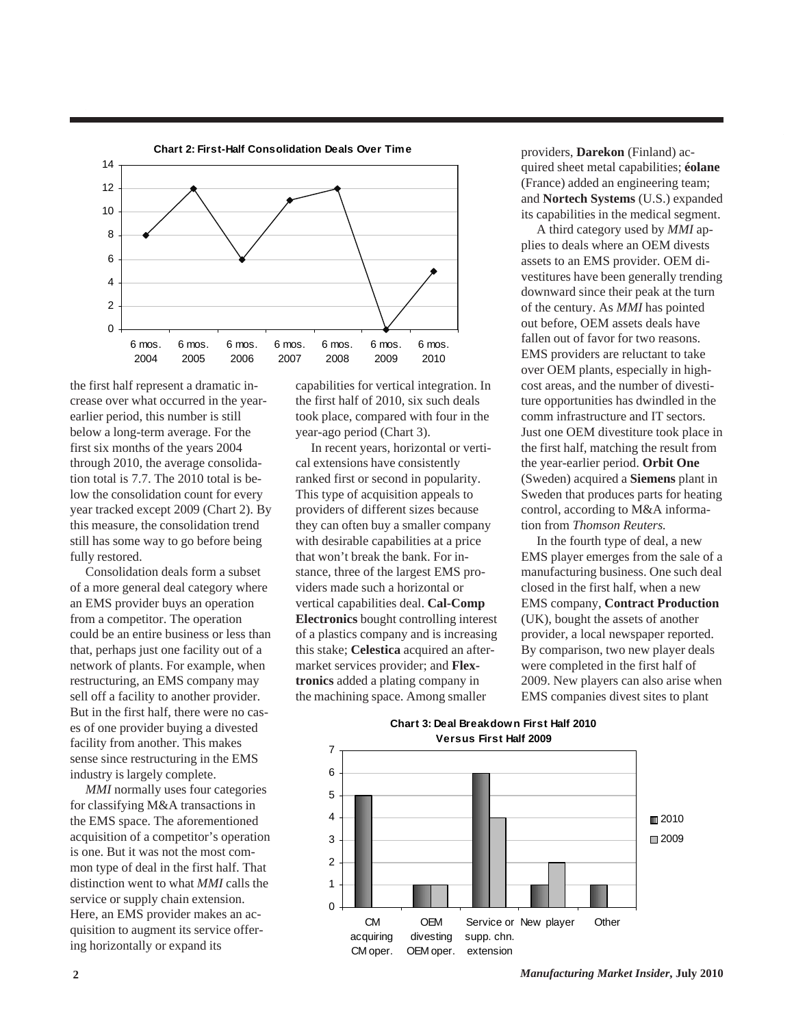

the first half represent a dramatic increase over what occurred in the yearearlier period, this number is still below a long-term average. For the first six months of the years 2004 through 2010, the average consolidation total is 7.7. The 2010 total is below the consolidation count for every year tracked except 2009 (Chart 2). By this measure, the consolidation trend still has some way to go before being fully restored.

 Consolidation deals form a subset of a more general deal category where an EMS provider buys an operation from a competitor. The operation could be an entire business or less than that, perhaps just one facility out of a network of plants. For example, when restructuring, an EMS company may sell off a facility to another provider. But in the first half, there were no cases of one provider buying a divested facility from another. This makes sense since restructuring in the EMS industry is largely complete.

 *MMI* normally uses four categories for classifying M&A transactions in the EMS space. The aforementioned acquisition of a competitor's operation is one. But it was not the most common type of deal in the first half. That distinction went to what *MMI* calls the service or supply chain extension. Here, an EMS provider makes an acquisition to augment its service offering horizontally or expand its

capabilities for vertical integration. In the first half of 2010, six such deals took place, compared with four in the year-ago period (Chart 3).

 In recent years, horizontal or vertical extensions have consistently ranked first or second in popularity. This type of acquisition appeals to providers of different sizes because they can often buy a smaller company with desirable capabilities at a price that won't break the bank. For instance, three of the largest EMS providers made such a horizontal or vertical capabilities deal. **Cal-Comp Electronics** bought controlling interest of a plastics company and is increasing this stake; **Celestica** acquired an aftermarket services provider; and **Flextronics** added a plating company in the machining space. Among smaller

providers, **Darekon** (Finland) acquired sheet metal capabilities; **éolane** (France) added an engineering team; and **Nortech Systems** (U.S.) expanded its capabilities in the medical segment.

 A third category used by *MMI* applies to deals where an OEM divests assets to an EMS provider. OEM divestitures have been generally trending downward since their peak at the turn of the century. As *MMI* has pointed out before, OEM assets deals have fallen out of favor for two reasons. EMS providers are reluctant to take over OEM plants, especially in highcost areas, and the number of divestiture opportunities has dwindled in the comm infrastructure and IT sectors. Just one OEM divestiture took place in the first half, matching the result from the year-earlier period. **Orbit One** (Sweden) acquired a **Siemens** plant in Sweden that produces parts for heating control, according to M&A information from *Thomson Reuters.*

 In the fourth type of deal, a new EMS player emerges from the sale of a manufacturing business. One such deal closed in the first half, when a new EMS company, **Contract Production** (UK), bought the assets of another provider, a local newspaper reported. By comparison, two new player deals were completed in the first half of 2009. New players can also arise when EMS companies divest sites to plant



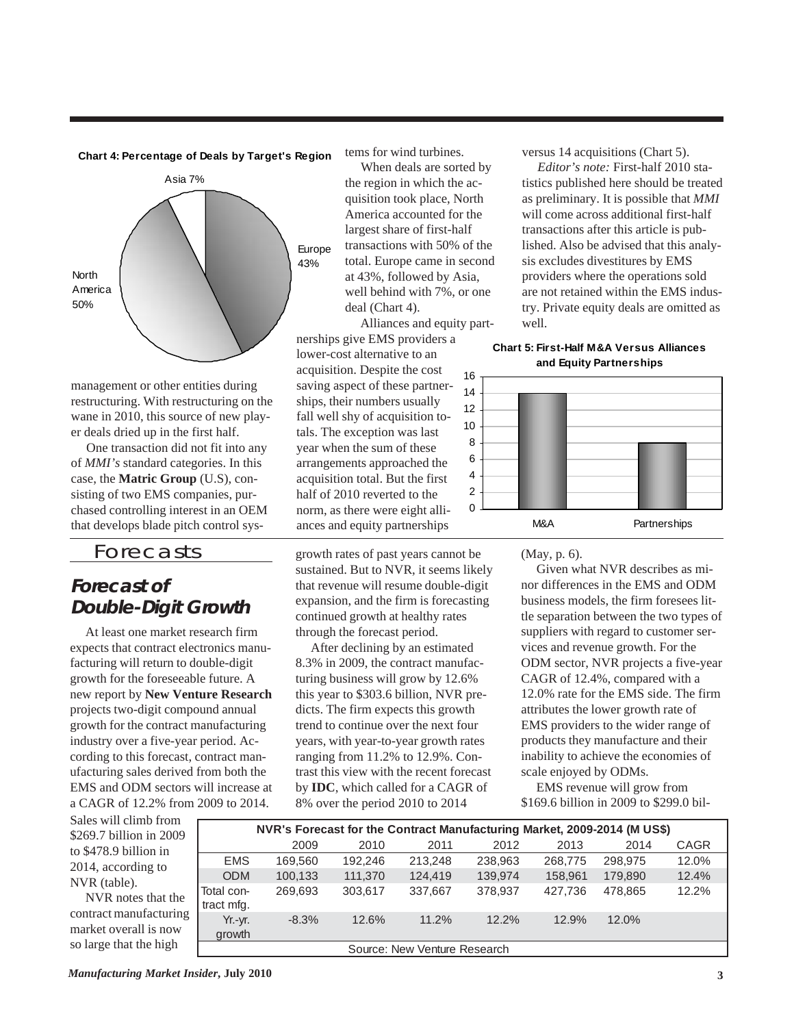



management or other entities during restructuring. With restructuring on the wane in 2010, this source of new player deals dried up in the first half.

 One transaction did not fit into any of *MMI's* standard categories. In this case, the **Matric Group** (U.S), consisting of two EMS companies, purchased controlling interest in an OEM that develops blade pitch control sys-

#### Forecasts

## **Forecast of Double-Digit Growth**

 At least one market research firm expects that contract electronics manufacturing will return to double-digit growth for the foreseeable future. A new report by **New Venture Research** projects two-digit compound annual growth for the contract manufacturing industry over a five-year period. According to this forecast, contract manufacturing sales derived from both the EMS and ODM sectors will increase at a CAGR of 12.2% from 2009 to 2014.

tems for wind turbines.

 When deals are sorted by the region in which the acquisition took place, North America accounted for the largest share of first-half transactions with 50% of the total. Europe came in second at 43%, followed by Asia, well behind with 7%, or one deal (Chart 4).

 Alliances and equity partnerships give EMS providers a lower-cost alternative to an acquisition. Despite the cost saving aspect of these partnerships, their numbers usually fall well shy of acquisition totals. The exception was last year when the sum of these arrangements approached the acquisition total. But the first half of 2010 reverted to the norm, as there were eight alliances and equity partnerships

growth rates of past years cannot be sustained. But to NVR, it seems likely that revenue will resume double-digit expansion, and the firm is forecasting continued growth at healthy rates through the forecast period.

 After declining by an estimated 8.3% in 2009, the contract manufacturing business will grow by 12.6% this year to \$303.6 billion, NVR predicts. The firm expects this growth trend to continue over the next four years, with year-to-year growth rates ranging from 11.2% to 12.9%. Contrast this view with the recent forecast by **IDC**, which called for a CAGR of 8% over the period 2010 to 2014

versus 14 acquisitions (Chart 5).

 *Editor's note:* First-half 2010 statistics published here should be treated as preliminary. It is possible that *MMI* will come across additional first-half transactions after this article is published. Also be advised that this analysis excludes divestitures by EMS providers where the operations sold are not retained within the EMS industry. Private equity deals are omitted as well.





(May, p. 6).

 Given what NVR describes as minor differences in the EMS and ODM business models, the firm foresees little separation between the two types of suppliers with regard to customer services and revenue growth. For the ODM sector, NVR projects a five-year CAGR of 12.4%, compared with a 12.0% rate for the EMS side. The firm attributes the lower growth rate of EMS providers to the wider range of products they manufacture and their inability to achieve the economies of scale enjoyed by ODMs.

 EMS revenue will grow from \$169.6 billion in 2009 to \$299.0 bil-

Sales will climb from \$269.7 billion in 2009 to \$478.9 billion in 2014, according to NVR (table).

 NVR notes that the contract manufacturing market overall is now so large that the high

| NVR's Forecast for the Contract Manufacturing Market, 2009-2014 (M US\$) |         |         |         |          |         |         |             |  |
|--------------------------------------------------------------------------|---------|---------|---------|----------|---------|---------|-------------|--|
|                                                                          | 2009    | 2010    | 2011    | 2012     | 2013    | 2014    | <b>CAGR</b> |  |
| <b>EMS</b>                                                               | 169,560 | 192.246 | 213,248 | 238,963  | 268,775 | 298,975 | 12.0%       |  |
| <b>ODM</b>                                                               | 100,133 | 111,370 | 124,419 | 139,974  | 158,961 | 179,890 | 12.4%       |  |
| Total con-<br>tract mfg.                                                 | 269,693 | 303,617 | 337,667 | 378,937  | 427.736 | 478.865 | 12.2%       |  |
| Yr.-yr.<br>growth                                                        | $-8.3%$ | 12.6%   | 11.2%   | $12.2\%$ | 12.9%   | 12.0%   |             |  |
| Source: New Venture Research                                             |         |         |         |          |         |         |             |  |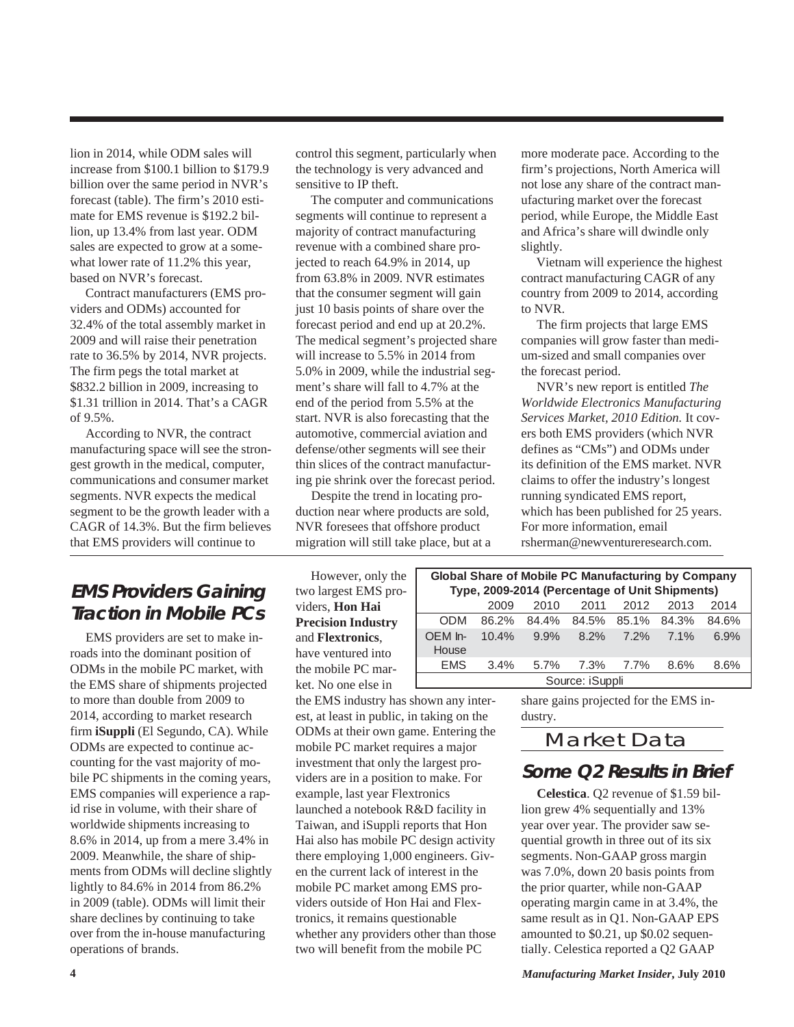lion in 2014, while ODM sales will increase from \$100.1 billion to \$179.9 billion over the same period in NVR's forecast (table). The firm's 2010 estimate for EMS revenue is \$192.2 billion, up 13.4% from last year. ODM sales are expected to grow at a somewhat lower rate of 11.2% this year, based on NVR's forecast.

 Contract manufacturers (EMS providers and ODMs) accounted for 32.4% of the total assembly market in 2009 and will raise their penetration rate to 36.5% by 2014, NVR projects. The firm pegs the total market at \$832.2 billion in 2009, increasing to \$1.31 trillion in 2014. That's a CAGR of 9.5%.

 According to NVR, the contract manufacturing space will see the strongest growth in the medical, computer, communications and consumer market segments. NVR expects the medical segment to be the growth leader with a CAGR of 14.3%. But the firm believes that EMS providers will continue to

# **EMS Providers Gaining Traction in Mobile PCs**

 EMS providers are set to make inroads into the dominant position of ODMs in the mobile PC market, with the EMS share of shipments projected to more than double from 2009 to 2014, according to market research firm **iSuppli** (El Segundo, CA). While ODMs are expected to continue accounting for the vast majority of mobile PC shipments in the coming years, EMS companies will experience a rapid rise in volume, with their share of worldwide shipments increasing to 8.6% in 2014, up from a mere 3.4% in 2009. Meanwhile, the share of shipments from ODMs will decline slightly lightly to 84.6% in 2014 from 86.2% in 2009 (table). ODMs will limit their share declines by continuing to take over from the in-house manufacturing operations of brands.

control this segment, particularly when the technology is very advanced and sensitive to IP theft.

 The computer and communications segments will continue to represent a majority of contract manufacturing revenue with a combined share projected to reach 64.9% in 2014, up from 63.8% in 2009. NVR estimates that the consumer segment will gain just 10 basis points of share over the forecast period and end up at 20.2%. The medical segment's projected share will increase to 5.5% in 2014 from 5.0% in 2009, while the industrial segment's share will fall to 4.7% at the end of the period from 5.5% at the start. NVR is also forecasting that the automotive, commercial aviation and defense/other segments will see their thin slices of the contract manufacturing pie shrink over the forecast period.

 Despite the trend in locating production near where products are sold, NVR foresees that offshore product migration will still take place, but at a

 However, only the two largest EMS providers, **Hon Hai Precision Industry** and **Flextronics**, have ventured into the mobile PC market. No one else in

the EMS industry has shown any interest, at least in public, in taking on the ODMs at their own game. Entering the mobile PC market requires a major investment that only the largest providers are in a position to make. For example, last year Flextronics launched a notebook R&D facility in Taiwan, and iSuppli reports that Hon Hai also has mobile PC design activity there employing 1,000 engineers. Given the current lack of interest in the mobile PC market among EMS providers outside of Hon Hai and Flextronics, it remains questionable whether any providers other than those two will benefit from the mobile PC

more moderate pace. According to the firm's projections, North America will not lose any share of the contract manufacturing market over the forecast period, while Europe, the Middle East and Africa's share will dwindle only slightly.

 Vietnam will experience the highest contract manufacturing CAGR of any country from 2009 to 2014, according to NVR.

 The firm projects that large EMS companies will grow faster than medium-sized and small companies over the forecast period.

 NVR's new report is entitled *The Worldwide Electronics Manufacturing Services Market, 2010 Edition.* It covers both EMS providers (which NVR defines as "CMs") and ODMs under its definition of the EMS market. NVR claims to offer the industry's longest running syndicated EMS report, which has been published for 25 years. For more information, email rsherman@newventureresearch.com.

| <b>Global Share of Mobile PC Manufacturing by Company</b><br>Type, 2009-2014 (Percentage of Unit Shipments) |       |         |       |             |      |       |
|-------------------------------------------------------------------------------------------------------------|-------|---------|-------|-------------|------|-------|
|                                                                                                             | 2009  | 2010    | 2011  | 2012        | 2013 | 2014  |
| ODM                                                                                                         | 86.2% | 84.4%   | 84.5% | 85.1% 84.3% |      | 84.6% |
| OFM In-<br>House                                                                                            | 10.4% | 9.9%    | 8.2%  | 7.2%        | 7.1% | 6.9%  |
| EMS                                                                                                         | 3.4%  | $5.7\%$ | 7.3%  | 7.7%        | 8.6% | 8.6%  |
| Source: iSuppli                                                                                             |       |         |       |             |      |       |

share gains projected for the EMS industry.

## Market Data

## **Some Q2 Results in Brief**

 **Celestica**. Q2 revenue of \$1.59 billion grew 4% sequentially and 13% year over year. The provider saw sequential growth in three out of its six segments. Non-GAAP gross margin was 7.0%, down 20 basis points from the prior quarter, while non-GAAP operating margin came in at 3.4%, the same result as in Q1. Non-GAAP EPS amounted to \$0.21, up \$0.02 sequentially. Celestica reported a Q2 GAAP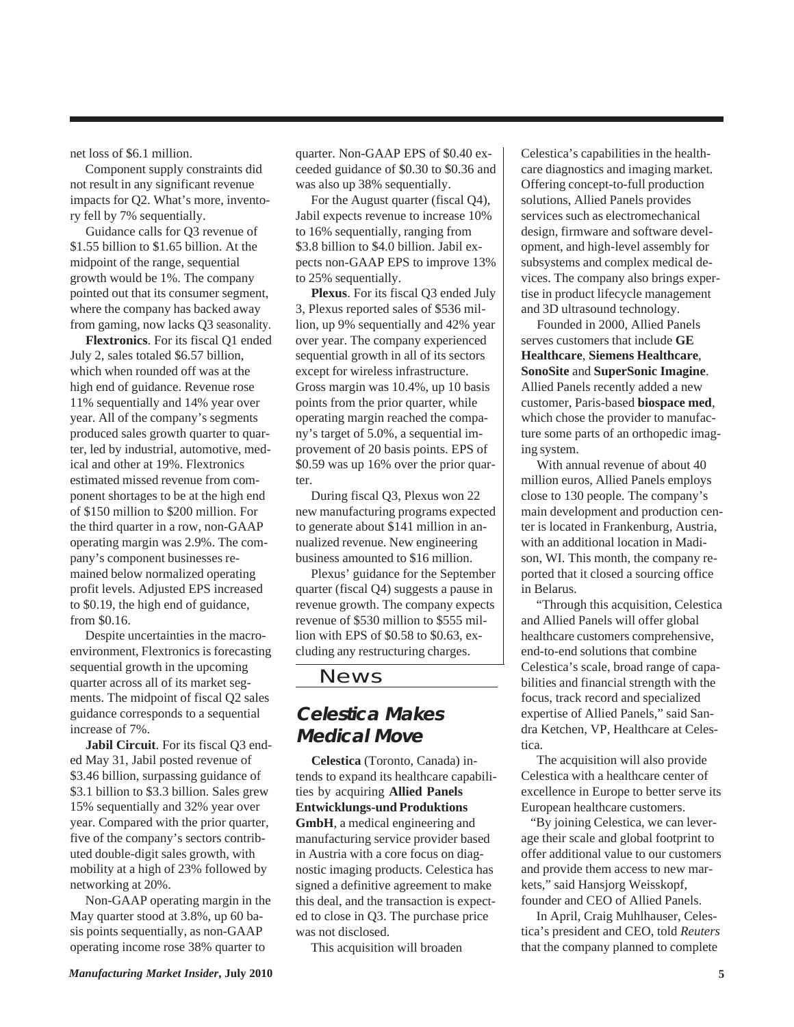net loss of \$6.1 million.

 Component supply constraints did not result in any significant revenue impacts for Q2. What's more, inventory fell by 7% sequentially.

 Guidance calls for Q3 revenue of \$1.55 billion to \$1.65 billion. At the midpoint of the range, sequential growth would be 1%. The company pointed out that its consumer segment, where the company has backed away from gaming, now lacks Q3 seasonality.

 **Flextronics**. For its fiscal Q1 ended July 2, sales totaled \$6.57 billion, which when rounded off was at the high end of guidance. Revenue rose 11% sequentially and 14% year over year. All of the company's segments produced sales growth quarter to quarter, led by industrial, automotive, medical and other at 19%. Flextronics estimated missed revenue from component shortages to be at the high end of \$150 million to \$200 million. For the third quarter in a row, non-GAAP operating margin was 2.9%. The company's component businesses remained below normalized operating profit levels. Adjusted EPS increased to \$0.19, the high end of guidance, from \$0.16.

 Despite uncertainties in the macroenvironment, Flextronics is forecasting sequential growth in the upcoming quarter across all of its market segments. The midpoint of fiscal Q2 sales guidance corresponds to a sequential increase of 7%.

 **Jabil Circuit**. For its fiscal Q3 ended May 31, Jabil posted revenue of \$3.46 billion, surpassing guidance of \$3.1 billion to \$3.3 billion. Sales grew 15% sequentially and 32% year over year. Compared with the prior quarter, five of the company's sectors contributed double-digit sales growth, with mobility at a high of 23% followed by networking at 20%.

 Non-GAAP operating margin in the May quarter stood at 3.8%, up 60 basis points sequentially, as non-GAAP operating income rose 38% quarter to

quarter. Non-GAAP EPS of \$0.40 exceeded guidance of \$0.30 to \$0.36 and was also up 38% sequentially.

 For the August quarter (fiscal Q4), Jabil expects revenue to increase 10% to 16% sequentially, ranging from \$3.8 billion to \$4.0 billion. Jabil expects non-GAAP EPS to improve 13% to 25% sequentially.

 **Plexus**. For its fiscal Q3 ended July 3, Plexus reported sales of \$536 million, up 9% sequentially and 42% year over year. The company experienced sequential growth in all of its sectors except for wireless infrastructure. Gross margin was 10.4%, up 10 basis points from the prior quarter, while operating margin reached the company's target of 5.0%, a sequential improvement of 20 basis points. EPS of \$0.59 was up 16% over the prior quarter.

 During fiscal Q3, Plexus won 22 new manufacturing programs expected to generate about \$141 million in annualized revenue. New engineering business amounted to \$16 million.

 Plexus' guidance for the September quarter (fiscal Q4) suggests a pause in revenue growth. The company expects revenue of \$530 million to \$555 million with EPS of \$0.58 to \$0.63, excluding any restructuring charges.

#### News

# **Celestica Makes Medical Move**

 **Celestica** (Toronto, Canada) intends to expand its healthcare capabilities by acquiring **Allied Panels Entwicklungs-und Produktions GmbH**, a medical engineering and manufacturing service provider based in Austria with a core focus on diagnostic imaging products. Celestica has signed a definitive agreement to make this deal, and the transaction is expected to close in Q3. The purchase price was not disclosed.

This acquisition will broaden

Celestica's capabilities in the healthcare diagnostics and imaging market. Offering concept-to-full production solutions, Allied Panels provides services such as electromechanical design, firmware and software development, and high-level assembly for subsystems and complex medical devices. The company also brings expertise in product lifecycle management and 3D ultrasound technology.

 Founded in 2000, Allied Panels serves customers that include **GE Healthcare**, **Siemens Healthcare**, **SonoSite** and **SuperSonic Imagine**. Allied Panels recently added a new customer, Paris-based **biospace med**, which chose the provider to manufacture some parts of an orthopedic imaging system.

 With annual revenue of about 40 million euros, Allied Panels employs close to 130 people. The company's main development and production center is located in Frankenburg, Austria, with an additional location in Madison, WI. This month, the company reported that it closed a sourcing office in Belarus.

 "Through this acquisition, Celestica and Allied Panels will offer global healthcare customers comprehensive, end-to-end solutions that combine Celestica's scale, broad range of capabilities and financial strength with the focus, track record and specialized expertise of Allied Panels," said Sandra Ketchen, VP, Healthcare at Celestica.

 The acquisition will also provide Celestica with a healthcare center of excellence in Europe to better serve its European healthcare customers.

"By joining Celestica, we can leverage their scale and global footprint to offer additional value to our customers and provide them access to new markets," said Hansjorg Weisskopf, founder and CEO of Allied Panels.

 In April, Craig Muhlhauser, Celestica's president and CEO, told *Reuters* that the company planned to complete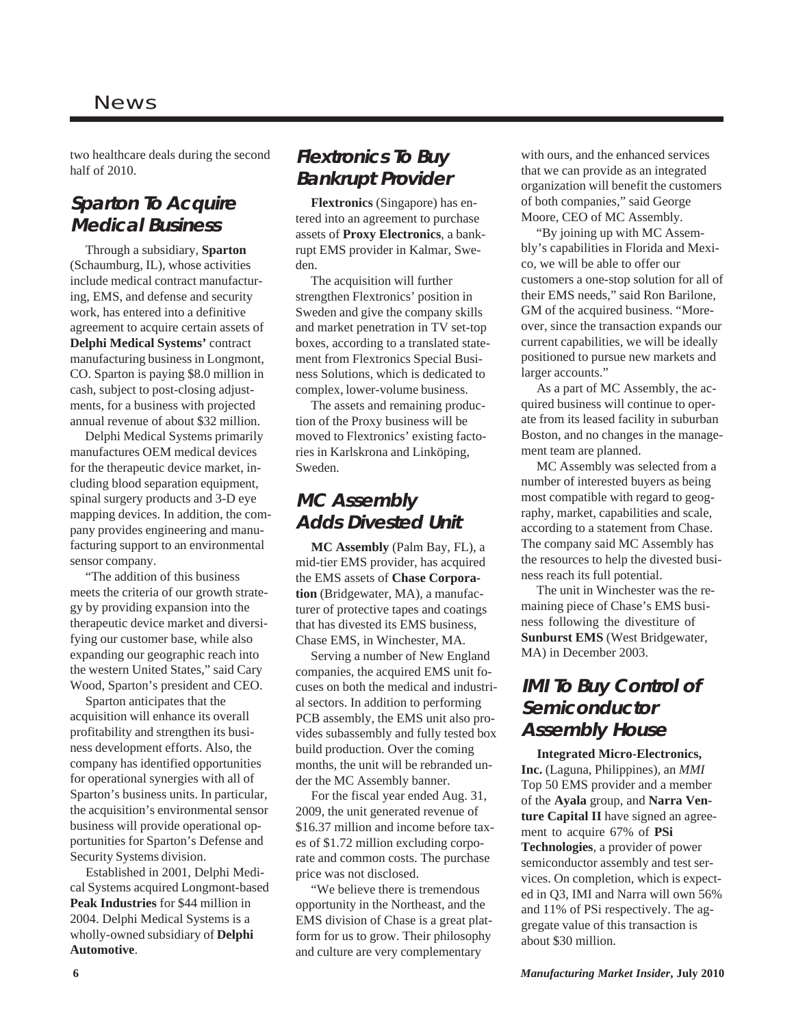#### News

two healthcare deals during the second half of 2010.

## **Sparton To Acquire Medical Business**

 Through a subsidiary, **Sparton** (Schaumburg, IL), whose activities include medical contract manufacturing, EMS, and defense and security work, has entered into a definitive agreement to acquire certain assets of **Delphi Medical Systems'** contract manufacturing business in Longmont, CO. Sparton is paying \$8.0 million in cash, subject to post-closing adjustments, for a business with projected annual revenue of about \$32 million.

 Delphi Medical Systems primarily manufactures OEM medical devices for the therapeutic device market, including blood separation equipment, spinal surgery products and 3-D eye mapping devices. In addition, the company provides engineering and manufacturing support to an environmental sensor company.

 "The addition of this business meets the criteria of our growth strategy by providing expansion into the therapeutic device market and diversifying our customer base, while also expanding our geographic reach into the western United States," said Cary Wood, Sparton's president and CEO.

 Sparton anticipates that the acquisition will enhance its overall profitability and strengthen its business development efforts. Also, the company has identified opportunities for operational synergies with all of Sparton's business units. In particular, the acquisition's environmental sensor business will provide operational opportunities for Sparton's Defense and Security Systems division.

 Established in 2001, Delphi Medical Systems acquired Longmont-based **Peak Industries** for \$44 million in 2004. Delphi Medical Systems is a wholly-owned subsidiary of **Delphi Automotive**.

# **Flextronics To Buy Bankrupt Provider**

 **Flextronics** (Singapore) has entered into an agreement to purchase assets of **Proxy Electronics**, a bankrupt EMS provider in Kalmar, Sweden.

 The acquisition will further strengthen Flextronics' position in Sweden and give the company skills and market penetration in TV set-top boxes, according to a translated statement from Flextronics Special Business Solutions, which is dedicated to complex, lower-volume business.

 The assets and remaining production of the Proxy business will be moved to Flextronics' existing factories in Karlskrona and Linköping, Sweden.

# **MC Assembly Adds Divested Unit**

 **MC Assembly** (Palm Bay, FL), a mid-tier EMS provider, has acquired the EMS assets of **Chase Corporation** (Bridgewater, MA), a manufacturer of protective tapes and coatings that has divested its EMS business, Chase EMS, in Winchester, MA.

 Serving a number of New England companies, the acquired EMS unit focuses on both the medical and industrial sectors. In addition to performing PCB assembly, the EMS unit also provides subassembly and fully tested box build production. Over the coming months, the unit will be rebranded under the MC Assembly banner.

 For the fiscal year ended Aug. 31, 2009, the unit generated revenue of \$16.37 million and income before taxes of \$1.72 million excluding corporate and common costs. The purchase price was not disclosed.

 "We believe there is tremendous opportunity in the Northeast, and the EMS division of Chase is a great platform for us to grow. Their philosophy and culture are very complementary

with ours, and the enhanced services that we can provide as an integrated organization will benefit the customers of both companies," said George Moore, CEO of MC Assembly.

 "By joining up with MC Assembly's capabilities in Florida and Mexico, we will be able to offer our customers a one-stop solution for all of their EMS needs," said Ron Barilone, GM of the acquired business. "Moreover, since the transaction expands our current capabilities, we will be ideally positioned to pursue new markets and larger accounts."

 As a part of MC Assembly, the acquired business will continue to operate from its leased facility in suburban Boston, and no changes in the management team are planned.

 MC Assembly was selected from a number of interested buyers as being most compatible with regard to geography, market, capabilities and scale, according to a statement from Chase. The company said MC Assembly has the resources to help the divested business reach its full potential.

 The unit in Winchester was the remaining piece of Chase's EMS business following the divestiture of **Sunburst EMS** (West Bridgewater, MA) in December 2003.

# **IMI To Buy Control of Semiconductor Assembly House**

 **Integrated Micro-Electronics, Inc.** (Laguna, Philippines), an *MMI* Top 50 EMS provider and a member of the **Ayala** group, and **Narra Venture Capital II** have signed an agreement to acquire 67% of **PSi Technologies**, a provider of power semiconductor assembly and test services. On completion, which is expected in Q3, IMI and Narra will own 56% and 11% of PSi respectively. The aggregate value of this transaction is about \$30 million.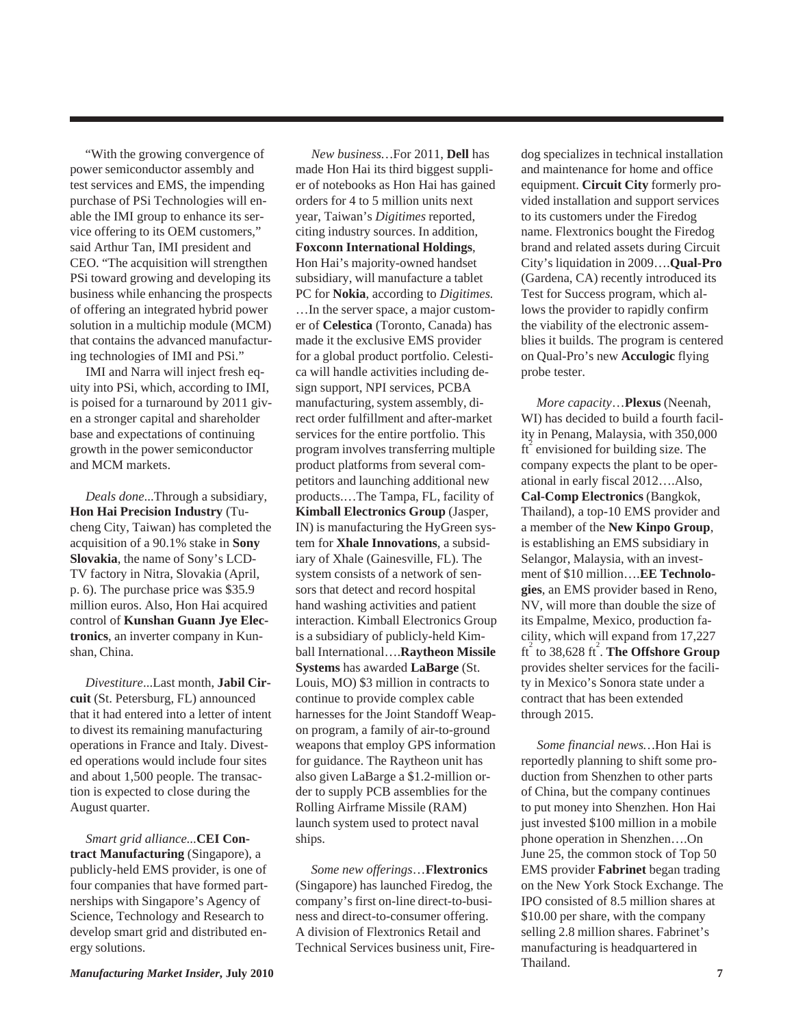"With the growing convergence of power semiconductor assembly and test services and EMS, the impending purchase of PSi Technologies will enable the IMI group to enhance its service offering to its OEM customers," said Arthur Tan, IMI president and CEO. "The acquisition will strengthen PSi toward growing and developing its business while enhancing the prospects of offering an integrated hybrid power solution in a multichip module (MCM) that contains the advanced manufacturing technologies of IMI and PSi."

 IMI and Narra will inject fresh equity into PSi, which, according to IMI, is poised for a turnaround by 2011 given a stronger capital and shareholder base and expectations of continuing growth in the power semiconductor and MCM markets.

 *Deals done*...Through a subsidiary, **Hon Hai Precision Industry** (Tucheng City, Taiwan) has completed the acquisition of a 90.1% stake in **Sony Slovakia**, the name of Sony's LCD-TV factory in Nitra, Slovakia (April, p. 6). The purchase price was \$35.9 million euros. Also, Hon Hai acquired control of **Kunshan Guann Jye Electronics**, an inverter company in Kunshan, China.

 *Divestiture*...Last month, **Jabil Circuit** (St. Petersburg, FL) announced that it had entered into a letter of intent to divest its remaining manufacturing operations in France and Italy. Divested operations would include four sites and about 1,500 people. The transaction is expected to close during the August quarter.

 *Smart grid alliance*...**CEI Contract Manufacturing** (Singapore), a publicly-held EMS provider, is one of four companies that have formed partnerships with Singapore's Agency of Science, Technology and Research to develop smart grid and distributed energy solutions.

 *New business…*For 2011, **Dell** has made Hon Hai its third biggest supplier of notebooks as Hon Hai has gained orders for 4 to 5 million units next year, Taiwan's *Digitimes* reported, citing industry sources. In addition, **Foxconn International Holdings**, Hon Hai's majority-owned handset subsidiary, will manufacture a tablet PC for **Nokia**, according to *Digitimes.* …In the server space, a major customer of **Celestica** (Toronto, Canada) has made it the exclusive EMS provider for a global product portfolio. Celestica will handle activities including design support, NPI services, PCBA manufacturing, system assembly, direct order fulfillment and after-market services for the entire portfolio. This program involves transferring multiple product platforms from several competitors and launching additional new products.…The Tampa, FL, facility of **Kimball Electronics Group** (Jasper, IN) is manufacturing the HyGreen system for **Xhale Innovations**, a subsidiary of Xhale (Gainesville, FL). The system consists of a network of sensors that detect and record hospital hand washing activities and patient interaction. Kimball Electronics Group is a subsidiary of publicly-held Kimball International….**Raytheon Missile Systems** has awarded **LaBarge** (St. Louis, MO) \$3 million in contracts to continue to provide complex cable harnesses for the Joint Standoff Weapon program, a family of air-to-ground weapons that employ GPS information for guidance. The Raytheon unit has also given LaBarge a \$1.2-million order to supply PCB assemblies for the Rolling Airframe Missile (RAM) launch system used to protect naval ships.

 *Some new offerings*…**Flextronics** (Singapore) has launched Firedog, the company's first on-line direct-to-business and direct-to-consumer offering. A division of Flextronics Retail and Technical Services business unit, Firedog specializes in technical installation and maintenance for home and office equipment. **Circuit City** formerly provided installation and support services to its customers under the Firedog name. Flextronics bought the Firedog brand and related assets during Circuit City's liquidation in 2009….**Qual-Pro** (Gardena, CA) recently introduced its Test for Success program, which allows the provider to rapidly confirm the viability of the electronic assemblies it builds. The program is centered on Qual-Pro's new **Acculogic** flying probe tester.

 *More capacity*…**Plexus** (Neenah, WI) has decided to build a fourth facility in Penang, Malaysia, with 350,000  $ft<sup>2</sup>$  envisioned for building size. The company expects the plant to be operational in early fiscal 2012….Also, **Cal-Comp Electronics** (Bangkok, Thailand), a top-10 EMS provider and a member of the **New Kinpo Group**, is establishing an EMS subsidiary in Selangor, Malaysia, with an investment of \$10 million….**EE Technologies**, an EMS provider based in Reno, NV, will more than double the size of its Empalme, Mexico, production facility, which will expand from 17,227 ft<sup>2</sup> to 38,628 ft<sup>2</sup>. The Offshore Group provides shelter services for the facility in Mexico's Sonora state under a contract that has been extended through 2015.

 *Some financial news…*Hon Hai is reportedly planning to shift some production from Shenzhen to other parts of China, but the company continues to put money into Shenzhen. Hon Hai just invested \$100 million in a mobile phone operation in Shenzhen….On June 25, the common stock of Top 50 EMS provider **Fabrinet** began trading on the New York Stock Exchange. The IPO consisted of 8.5 million shares at \$10.00 per share, with the company selling 2.8 million shares. Fabrinet's manufacturing is headquartered in Thailand.